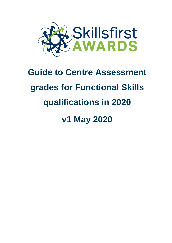

# **Guide to Centre Assessment grades for Functional Skills qualifications in 2020**

# **v1 May 2020**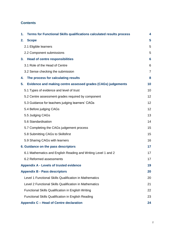#### **Contents**

| Terms for Functional Skills qualifications calculated results process<br>1. | 4              |
|-----------------------------------------------------------------------------|----------------|
| <b>Scope</b><br>2.                                                          | 5              |
| 2.1 Eligible learners                                                       | 5              |
| 2.2 Component submissions                                                   | 5              |
| 3.<br><b>Head of centre responsibilities</b>                                | 6              |
| 3.1 Role of the Head of Centre                                              | 6              |
| 3.2 Sense checking the submission                                           | $\overline{7}$ |
| The process for calculating results<br>4.                                   | 8              |
| Evidence and making centre assessed grades (CAGs) judgements<br>5.          | 10             |
| 5.1 Types of evidence and level of trust                                    | 10             |
| 5.2 Centre assessment grades required by component                          | 12             |
| 5.3 Guidance for teachers judging learners' CAGs                            | 12             |
| 5.4 Before judging CAGs                                                     | 12             |
| 5.5 Judging CAGs                                                            | 13             |
| 5.6 Standardisation                                                         | 14             |
| 5.7 Completing the CAGs judgement process                                   | 15             |
| 5.8 Submitting CAGs to Skillsfirst                                          | 15             |
| 5.9 Sharing CAGs with learners                                              | 16             |
| 6. Guidance on the pass descriptors                                         | 17             |
| 6.1 Mathematics and English Reading and Writing Level 1 and 2               | 17             |
| 6.2 Reformed assessments                                                    | 17             |
| <b>Appendix A - Levels of trusted evidence</b>                              | 19             |
| <b>Appendix B - Pass descriptors</b>                                        | 20             |
| Level 1 Functional Skills Qualification in Mathematics                      | 20             |
| Level 2 Functional Skills Qualification in Mathematics                      | 21             |
| <b>Functional Skills Qualification in English Writing</b>                   | 22             |
| <b>Functional Skills Qualification in English Reading</b>                   | 23             |
| Appendix C - Head of Centre declaration                                     | 24             |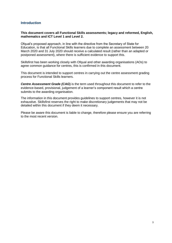#### **Introduction**

#### **This document covers all Functional Skills assessments; legacy and reformed, English, mathematics and ICT Level 1 and Level 2.**

Ofqual's proposed approach, in line with the directive from the Secretary of State for Education, is that all Functional Skills learners due to complete an assessment between 20 March 2020 and 31 July 2020 should receive a calculated result (rather than an adapted or postponed assessment), where there is sufficient evidence to support this.

Skillsfirst has been working closely with Ofqual and other awarding organisations (AOs) to agree common guidance for centres, this is confirmed in this document.

This document is intended to support centres in carrying out the centre assessment grading process for Functional Skills learners.

**Centre Assessment Grade (CAG)** is the term used throughout this document to refer to the evidence-based, provisional, judgement of a learner's component result which a centre submits to the awarding organisation*.*

The information in this document provides guidelines to support centres, however it is not exhaustive. Skillsfirst reserves the right to make discretionary judgements that may not be detailed within this document if they deem it necessary.

Please be aware this document is liable to change, therefore please ensure you are referring to the most recent version.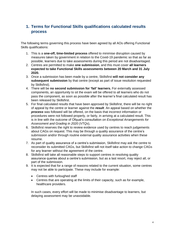# <span id="page-3-0"></span>**1. Terms for Functional Skills qualifications calculated results process**

The following terms governing this process have been agreed by all AOs offering Functional Skills qualifications:

- 1. This is a **one-off, time-limited process** offered to minimise disruption caused by measures taken by government in relation to the Covid-19 pandemic so that as far as possible, learners due to take assessments during this period are not disadvantaged.
- 2. Centres are permitted to make **one submission**, and this must cover **all learners expected to take Functional Skills assessments between 20 March and 31 July 2020.**
- 3. Once a submission has been made by a centre, Skillsfirst **will not consider any subsequent submission** by that centre (except as part of issue resolution requested by Skillsfirst).
- 4. There will be **no second submission for 'fail' learners.** For externally assessed components, an opportunity to sit the exam will be offered to all learners who do not pass the component, as soon as possible after the learner's final calculated result has been released by Skillsfirst.
- 5. For final calculated results that have been approved by Skillsfirst, there will be no right of appeal by the centre or learner against the *result*. An appeal based on whether the *process* was followed will be offered, on the basis that incorrect information or procedures were not followed properly, or fairly, in arriving at a calculated result. This is in line with the outcome of Ofqual's consultation *on Exceptional Arrangements for Assessment and Grading in 2020 (VTQs*),
- 6. Skillsfirst reserves the right to review evidence used by centres to reach judgements about CAGs on request. This may be through a quality assurance of the centre's submission and/or through routine external quality assurance activities when these resume.
- 7. As part of quality assurance of a centre's submission, Skillsfirst may ask the centre to reconsider its submitted CAGs, but Skillsfirst will not itself take action to change CAGs for any learner without the agreement of the centre.
- 8. Skillsfirst will take all reasonable steps to support centres in resolving quality assurance queries about a centre's submission, but as a last resort, may reject all, or part of the submission.
- 9. It is expected that for a range of reasons related to the current situation, some centres may not be able to participate. These may include for example:
	- Centres with furloughed staff
	- Centres that are operating at the limits of their capacity, such as for example, healthcare providers.

In such cases, every effort will be made to minimise disadvantage to learners, but delaying assessment may be unavoidable.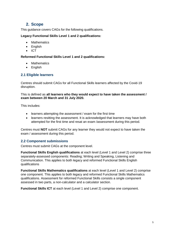### <span id="page-4-0"></span>**2. Scope**

This guidance covers CAGs for the following qualifications.

#### **Legacy Functional Skills Level 1 and 2 qualifications:**

- Mathematics
- English
- $\bullet$  ICT

#### **Reformed Functional Skills Level 1 and 2 qualifications:**

- Mathematics
- English

#### <span id="page-4-1"></span>**2.1 Eligible learners**

Centres should submit CAGs for all Functional Skills learners affected by the Covid-19 disruption.

This is defined as **all learners who they would expect to have taken the assessment / exam between 20 March and 31 July 2020.** 

This includes:

- learners attempting the assessment / exam for the first time
- learners resitting the assessment. It is acknowledged that learners may have both attempted for the first time and resat an exam /assessment during this period.

Centres must **NOT** submit CAGs for any learner they would not expect to have taken the exam / assessment during this period.

#### <span id="page-4-2"></span>**2.2 Component submissions**

Centres must submit CAGs at the component level.

**Functional Skills English qualifications** at each level (Level 1 and Level 2) comprise three separately-assessed components: Reading; Writing and Speaking, Listening and Communication. This applies to both legacy and reformed Functional Skills English qualifications

**Functional Skills Mathematics qualifications** at each level (Level 1 and Level 2) comprise one component. This applies to both legacy and reformed Functional Skills Mathematics qualifications. Assessment for reformed Functional Skills consists a single component assessed in two parts, a non-calculator and a calculator section.

**Functional Skills ICT** at each level (Level 1 and Level 2) comprise one component.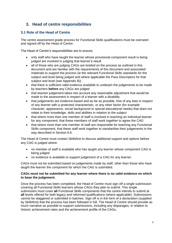# <span id="page-5-0"></span>**3. Head of centre responsibilities**

#### <span id="page-5-1"></span>**3.1 Role of the Head of Centre**

The centre assessment grade process for Functional Skills qualifications must be overseen and signed off by the Head of Centre.

The Head of Centre's responsibilities are to ensure:

- only staff who have taught the learner whose provisional component result is being judged are involved in judging that learner's result
- all of those who are judging CAGs are briefed on the process as outlined in this document and are familiar with the requirements of this document and associated materials to support the process (ie the relevant Functional Skills standards for the subject and level being judged and where applicable the Pass Descriptors for that subject and level (see Appendix B))
- that there is sufficient valid evidence available to underpin the judgements to be made by teachers **before** any CAGs are judged
- that teacher judgement takes into account any reasonable adjustment that would be made to the assessment in respect of a learner with a disability
- that judgements are evidence-based and as far as possible, free of any bias in respect of any learner with a protected characteristic, or any other factor (for example character, appearance, social background or special educational needs) that does not relate to their knowledge, skills and abilities in relation to the subject
- that where more than one member of staff is involved in teaching an individual learner for any component, that these members of staff work together to agree the CAG
- that where more than one member of staff are responsible for teaching any Functional Skills component, that these staff work together to standardise their judgements in the way described in Section 6.6.

The Head of Centre must contact Skillsfirst to discuss additional support and options before any CAG is judged where:

- no member of staff is available who has taught any learner whose component CAG is being judged
- no evidence is available to support judgement of a CAG for any learner.

CAGs must not be submitted based on judgements made by staff, other than those who have taught the learner the component for which the CAG is submitted.

#### **CAGs must not be submitted for any learner where there is no valid evidence on which to base the judgement.**

Once the process has been completed, the Head of Centre must sign off a single submission covering all Functional Skills learners whose CAGs they plan to submit. This single submission must cover **all** Functional Skills components that the centre intends to submit at **all** levels offered for both legacy and reformed qualifications (where applicable). Submissions cannot be staggered or submitted in batches. Sign off is in the form of a declaration (supplied by Skillsfirst) that the process has been followed in full. The Head of Centre should provide as much narrative as possible to support submissions, including any disparages, in relation to historic achievement rates and the achievement profile of the CAGs.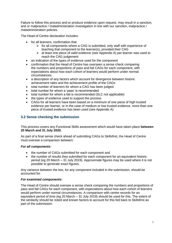Failure to follow this process and or produce evidence upon request, may result in a sanction, and or malpractice / maladministration investigation in line with our sanction, malpractice / maladministration policies.

The Head of Centre declaration includes:

- for all learners, confirmation that
	- $\triangleright$  for all components where a CAG is submitted, only staff with experience of teaching that component to the learner(s), provided their CAG
	- $\triangleright$  at least one piece of valid evidence (see Appendix A) per learner was used to reach the CAG judgement
- an indication of the types of evidence used for the component
- confirmation that the Head of Centre has overseen a sense check comparing the numbers and proportions of pass and fail CAGs for each component, with expectations about how each cohort of learners would perform under normal circumstances
- a description of any factors which account for divergence between historic achievement rates and the achievement profile of the CAGs
- total number of learners for whom a CAG has been judged
- total number for whom a 'pass' is recommended
- total number for whom a fail is recommended (SLC not applicable)
- the types of evidence used to support the process
- CAGs for all learners have been based on a minimum of one piece of high trusted evidence per learner, or in the case of medium or low trusted evidence, more than one piece of trusted evidence has been used (see Appendix A)

#### <span id="page-6-0"></span>**3.2 Sense checking the submission**

This process covers any Functional Skills assessment which would have taken place **between 20 March and 31 July 2020.** 

As part of a final sense check ahead of submitting CAGs to Skillsfirst, the Head of Centre must oversee a comparison between:

#### *For all components:*

- the number of CAGs submitted for each component and
- the number of results they submitted for each component for an equivalent historic period (eg 20 March – 31 July 2019). Approximate figures may be used where it is not possible to generate exact figures.

Any variance between the two, for any component included in the submission, should be accounted for.

#### *For examined components:*

The Head of Centre should oversee a sense check comparing the numbers and proportions of pass and fail CAGs for each component, with expectations about how each cohort of learners would perform under normal circumstances. A comparison with centre records for an equivalent period of time (eg 20 March – 31 July 2019) should be used for this. The extent of the similarity should be noted and known factors to account for this fed back to Skillsfirst as part of the submission*.*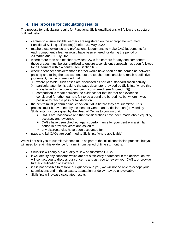# <span id="page-7-0"></span>**4. The process for calculating results**

The process for calculating results for Functional Skills qualifications will follow the structure outlined below:

- centres to ensure eligible learners are registered on the appropriate reformed Functional Skills qualification(s) before 31 May 2020
- teachers use evidence and professional judgements to make CAG judgements for each component a learner would have been entered for during the period of 20 March and 31 July 2020
- where more than one teacher provides CAGs for learners for any one component, these grades must be standardised to ensure a consistent approach has been followed for all learners within a centre (see Section 6.6)
- where a teacher considers that a learner would have been on the borderline between passing and failing the assessment, but the teacher feels unable to reach a definitive judgement, it is recommended that:
	- $\triangleright$  where possible, such cases are discussed as part of a standardisation activity
	- $\triangleright$  particular attention is paid to the pass descriptor provided by Skillsfirst (where this is available for the component being considered (see Appendix B))
	- $\triangleright$  comparison is made between the evidence for that learner and evidence considered for other learners felt to be around the borderline, but where it was possible to reach a pass or fail decision
- the centre must perform a final check on CAGs before they are submitted. This process must be overseen by the Head of Centre and a declaration (provided by Skillsfirst) must be signed by the Head of Centre to confirm that:
	- $\triangleright$  CAGs are reasonable and that considerations have been made about equality, accuracy and evidence
	- $\triangleright$  CAGs have been checked against performance for your centre in a similar period in previous years and asked to
	- any discrepancies have been accounted for
- pass and fail CAGs are confirmed to Skillsfirst (where applicable).

We will not ask you to submit evidence to us as part of the initial submission process, but you will need to retain this evidence for a minimum period of time six months.

- Skillsfirst will carry out a quality review of submitted CAGs
- if we identify any concerns which are not sufficiently addressed in the declaration, we will contact you to discuss our concerns and ask you to review your CAGs, or provide further clarification or evidence
- if it is not possible to resolve our queries with you, we will not be able to accept your submissions and in these cases, adaptation or delay may be unavoidable
- Skillsfirst will release calculated results.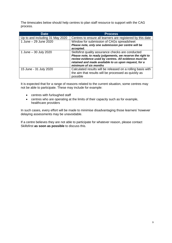The timescales below should help centres to plan staff resource to support with the CAG process.

| <b>Date</b>                     | <b>Process</b>                                                                                                                                                                                                                                             |
|---------------------------------|------------------------------------------------------------------------------------------------------------------------------------------------------------------------------------------------------------------------------------------------------------|
| Up to and including 31 May 2020 | Centres to ensure all learners are registered by this date                                                                                                                                                                                                 |
| 1 June - 29 June 2020           | Window for submission of CAGs spreadsheet<br>Please note, only one submission per centre will be<br>accepted.                                                                                                                                              |
| 1 June – 30 July 2020           | Skillsfirst quality assurance checks are conducted<br>Please note, to ready judgements, we reserve the right to<br>review evidence used by centres. All evidence must be<br>retained and made available to us upon request, for a<br>minimum of six months |
| 15 June - 31 July 2020          | Calculated results will be released on a rolling basis with<br>the aim that results will be processed as quickly as<br>possible                                                                                                                            |

It is expected that for a range of reasons related to the current situation, some centres may not be able to participate. These may include for example:

- centres with furloughed staff
- centres who are operating at the limits of their capacity such as for example, healthcare providers

In such cases, every effort will be made to minimise disadvantaging those learners' however delaying assessments may be unavoidable.

If a centre believes they are not able to participate for whatever reason, please contact Skillsfirst **as soon as possible** to discuss this.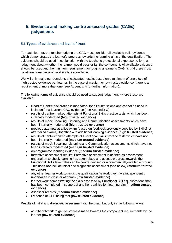# <span id="page-9-0"></span>**5. Evidence and making centre assessed grades (CAGs) judgements**

#### <span id="page-9-1"></span>**5.1 Types of evidence and level of trust**

For each learner, the teacher judging the CAG must consider all available valid evidence which demonstrates the learner's progress towards the learning aims of the qualification. The evidence should be used in conjunction with the teacher's professional expertise, to form a judgement about whether the learner would pass or fail the component. All available evidence should be used and the minimum requirement for judging a learner's CAG, is that there must be at least one piece of valid evidence available.

We will only make our decisions of calculated results based on a minimum of one piece of high trusted evidence per learner. In the case of medium or low trusted evidence, there is a requirement of more than one (see Appendix A for further information).

The following forms of evidence should be used to support judgement, where these are available:

- Head of Centre declaration is mandatory for all submissions and cannot be used in isolation for a learners CAG evidence (see Appendix C)
- results of centre-marked attempts at Functional Skills practice tests which has been internally moderated **(high trusted evidence)**
- results of mock Speaking, Listening and Communication assessments which have been internally moderated **(high trusted evidence)**
- previous attempts at a live exam (based on feedback previously supplied by Skillsfirst after failed exams), together with additional learning evidence **(high trusted evidence)**
- results of centre-marked attempts at Functional Skills practice tests which have not been internally moderated **(medium trusted evidence)**
- results of mock Speaking, Listening and Communication assessments which have not been internally moderated **(medium trusted evidence)**
- on-programme learning evidence **(medium trusted evidence)**
- formative assessment results. Formative assessment is defined as assessment undertaken to check learning has taken place and assess progress towards the Functional Skills level. This can be centre-devised or a commercially-available product. This does **not** include initial and diagnostic assessment (see below) **(medium trusted evidence)**
- any other learner work towards the qualification (ie work they have independently undertaken in class or at home) **(low trusted evidence)**
- learner work demonstrating the skills assessed by Functional Skills qualifications that has been completed in support of another qualification learning aim **(medium trusted evidence)**
- Assessor records **(medium trusted evidence)**
- Evidence of GLH being met **(low trusted evidence)**

Results of initial and diagnostic assessment can be used, but only in the following ways:

 as a benchmark to gauge progress made towards the component requirements by the learner **(low trusted evidence)**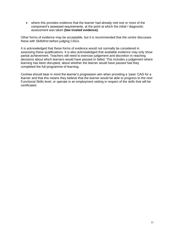where this provides evidence that the learner had already met one or more of the component's assessed requirements, at the point at which the initial / diagnostic assessment was taken **(low trusted evidence)**.

Other forms of evidence may be acceptable, but it is recommended that the centre discusses these with Skillsfirst before judging CAGs.

It is acknowledged that these forms of evidence would not normally be considered in assessing these qualifications. It is also acknowledged that available evidence may only show partial achievement. Teachers will need to exercise judgement and discretion in reaching decisions about which learners would have passed or failed. This includes a judgement where learning has been disrupted, about whether the learner would have passed had they completed the full programme of learning.

Centres should bear in mind the learner's progression aim when providing a 'pass' CAG for a learner and that this means they believe that the learner would be able to progress to the next Functional Skills level, or operate in an employment setting in respect of the skills that will be certificated.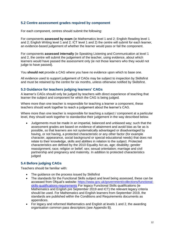#### <span id="page-11-0"></span>**5.2 Centre assessment grades required by component**

For each component, centres should submit the following:

For components **assessed by exam** (ie Mathematics level 1 and 2; English Reading level 1 and 2; English Writing level 1 and 2; ICT level 1 and 2) the centre will submit for each learner, an evidence-based judgement of whether the learner would pass or fail the component.

For components **assessed internally** (ie Speaking Listening and Communication at level 1 and 2, the centre will submit the judgement of the teacher, using evidence, about which learners would have passed the assessment only (ie not those learners who they would not judge to have passed).

You **should not** provide a CAG where you have no evidence upon which to base one.

All evidence used to support judgement of CAGs may be subject to inspection by Skillsfirst and must be retained by the centre for six months, unless otherwise notified by Skillsfirst.

#### <span id="page-11-1"></span>**5.3 Guidance for teachers judging learners' CAGs**

A learner's CAGs should only be judged by teachers with direct experience of teaching that learner the subject and component for which the CAG is being judged.

Where more than one teacher is responsible for teaching a learner a component, these teachers should work together to reach a judgement about the learner's CAG.

Where more than one teacher is responsible for teaching a subject / component at a particular level, they should work together to standardise their judgement in the way described below.

 Judgements must be made in an impartial, balanced and unbiased way; such that the assessment grades are based on evidence of attainment and avoid bias as far as is possible, so that learners are not systematically advantaged or disadvantaged by having, or not having, a protected characteristic or any other factor (for example character, appearance, social background or special educational needs) that does not relate to their knowledge, skills and abilities in relation to the subject. Protected characteristics are defined by the 2010 Equality Act as, age; disability; gender reassignment; race; religion or belief; sex; sexual orientation; marriage and civil partnership and pregnancy and maternity. In addition to protected characteristics judged

#### <span id="page-11-2"></span>**5.4 Before judging CAGs**

Teachers should be familiar with:

- The guidance on the process issued by Skillsfirst
- The standards for the Functional Skills subject and level being assessed, these can be accessed from Ofqual's website: [https://www.gov.uk/government/collections/functional](https://www.gov.uk/government/collections/functional-skills-qualifications-requirements)[skills-qualifications-requirements](https://www.gov.uk/government/collections/functional-skills-qualifications-requirements) For legacy Functional Skills qualifications (ie Mathematics and English pre September 2019 and ICT) the relevant legacy criteria should be used. For Mathematics and English learners from September 2019, the standards are published within the Conditions and Requirements documents as appendices.
- For legacy and reformed Mathematics and English at levels 1 and 2, the awarding organisation common pass descriptors (see Appendix B).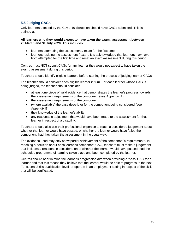#### <span id="page-12-0"></span>**5.5 Judging CAGs**

Only learners affected by the Covid-19 disruption should have CAGs submitted. This is defined as:

#### **All learners who they would expect to have taken the exam / assessment between 20 March and 31 July 2020. This includes:**

- learners attempting the assessment / exam for the first time
- learners resitting the assessment / exam. It is acknowledged that learners may have both attempted for the first time and resat an exam /assessment during this period.

Centres must **NOT** submit CAGs for any learner they would not expect to have taken the exam / assessment during this period.

Teachers should identify eligible learners before starting the process of judging learner CAGs.

The teacher should consider each eligible learner in turn. For each learner whose CAG is being judged, the teacher should consider:

- at least one piece of valid evidence that demonstrates the learner's progress towards the assessment requirements of the component (see Appendix A)
- the assessment requirements of the component
- (where available) the pass descriptor for the component being considered (see Appendix B)
- their knowledge of the learner's ability
- any reasonable adjustment that would have been made to the assessment for that learner in respect of a disability.

Teachers should also use their professional expertise to reach a considered judgement about whether that learner would have passed, or whether the learner would have failed the component. had they taken the assessment in the usual way.

The evidence used may only show partial achievement of the component's requirements. In reaching a decision about each learner's component CAG, teachers must make a judgement that includes a reasonable consideration of whether the learner would have passed, had the scheduled programme of learning taken place and been completed by the learner.

Centres should bear in mind the learner's progression aim when providing a 'pass' CAG for a learner and that this means they believe that the learner would be able to progress to the next Functional Skills qualification level, or operate in an employment setting in respect of the skills that will be certificated.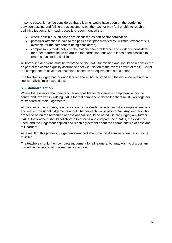In some cases, it may be considered that a learner would have been on the borderline between passing and failing the assessment, but the teacher may feel unable to reach a definitive judgement. In such cases it is recommended that:

- where possible, such cases are discussed as part of standardisation
- particular attention is paid to the pass descriptor provided by Skillsfirst (where this is available for the component being considered)
- comparison is made between the evidence for that learner and evidence considered for other learners felt to be around the borderline, but where it has been possible to reach a pass or fail decision.

All borderline decisions must be recorded on the CAG submission and should be reconsidered as part of the centre's quality assurance check in relation to the overall profile of the CAGs for the component, relative to expectations based on an equivalent historic period.

The teacher's judgement for each learner should be recorded and the evidence retained in line with Skillsfirst's instructions.

#### <span id="page-13-0"></span>**5.6 Standardisation**

Where there is more than one teacher responsible for delivering a component within the centre and involved in judging CAGs for that component, these teachers must work together to standardise their judgements.

At the start of the process, teachers should individually consider an initial sample of learners and make provisional judgements about whether each would pass or fail. Any learners who are felt to be on the borderline of pass and fail should be noted. Before judging any further CAGs, the teachers should collaborate to discuss and compare their CAGs, the evidence used, and the judgement applied and reach agreement about the characteristics of pass and fail learners.

As a result of this process, judgements reached about the initial sample of learners may be revisited.

The teachers should then complete judgement for all learners, but may wish to discuss any borderline decisions with colleagues as required.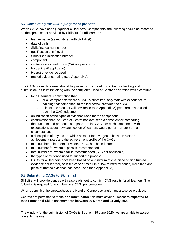#### <span id="page-14-0"></span>**5.7 Completing the CAGs judgement process**

When CAGs have been judged for all learners / components, the following should be recorded on the spreadsheet provided by Skillsfirst for **all** learners:

- learner name (as registered with Skillsfirst)
- date of birth
- Skillsfirst learner number
- qualification title / level
- Skillsfirst qualification number
- component
- centre assessment grade (CAG) pass or fail
- borderline (if applicable)
- type(s) of evidence used
- trusted evidence rating (see Appendix A)

The CAGs for each learner should be passed to the Head of Centre for checking and submission to Skillsfirst, along with the completed Head of Centre declaration which confirms:

- for all learners, confirmation that
	- $\triangleright$  for all components where a CAG is submitted, only staff with experience of teaching that component to the learner(s), provided their CAG
		- $\triangleright$  at least one piece of valid evidence (see Appendix A) per learner was used to reach the CAG judgement
- an indication of the types of evidence used for the component
- confirmation that the Head of Centre has overseen a sense check comparing the numbers and proportions of pass and fail CAGs for each component, with expectations about how each cohort of learners would perform under normal circumstances
- a description of any factors which account for divergence between historic achievement rates and the achievement profile of the CAGs
- total number of learners for whom a CAG has been judged
- total number for whom a 'pass' is recommended
- total number for whom a fail is recommended (SLC not applicable)
- the types of evidence used to support the process
- CAGs for all learners have been based on a minimum of one piece of high trusted evidence per learner, or in the case of medium or low trusted evidence, more than one piece of trusted evidence has been used (see Appendix A).

#### <span id="page-14-1"></span>**5.8 Submitting CAGs to Skillsfirst**

Skillsfirst will provide centres with a spreadsheet to confirm CAG results for all learners. The following is required for each learners CAG, per component.

When submitting the spreadsheet, the Head of Centre declaration must also be provided.

#### Centres are permitted to make **one submission**; this must cover **all learners expected to take Functional Skills assessments between 20 March and 31 July 2020.**

The window for the submission of CAGs is 1 June – 29 June 2020, we are unable to accept late submissions.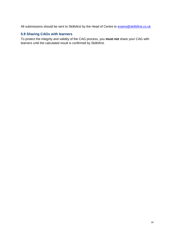All submissions should be sent to Skillsfirst by the Head of Centre to **[exams@skillsfirst.co.uk](mailto:exams@skillsfirst.co.uk)** 

#### <span id="page-15-0"></span>**5.9 Sharing CAGs with learners**

To protect the integrity and validity of the CAG process, you **must not** share your CAG with learners until the calculated result is confirmed by Skillsfirst.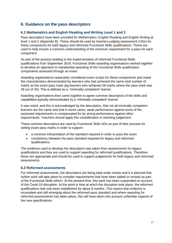# <span id="page-16-0"></span>**6. Guidance on the pass descriptors**

#### <span id="page-16-1"></span>**6.1 Mathematics and English Reading and Writing Level 1 and 2**

Pass descriptors have been provided for Mathematics, English Reading and English Writing at level 1 and 2 (Appendix B). These should be used by teachers judging assessment CAGs for these components for both legacy and reformed Functional Skills qualifications. These are used to help ensure a common understanding of the minimum requirement for a pass for each component.

As part of the process leading to the implementation of reformed Functional Skills qualifications from September 2019, Functional Skills awarding organisations worked together to develop an approach to standardise awarding of the Functional Skills qualification components assessed through an exam.

Awarding organisations separately considered exam scripts for these components and noted the characteristics demonstrated by learners who had achieved the same total number of marks as the exam pass mark (eg learners who achieved 28 marks where the pass mark was 28 out of 40). This is defined as a, 'minimally-competent' learner.

Awarding organisations then came together to agree common descriptors of the skills and capabilities typically demonstrated by a 'minimally-competent' learner.

It was noted, and this is acknowledged by the descriptors, that not all minimally competent learners are the same and that in some cases, weak performance against some of the assessed requirements is compensated for by strong performance against other requirements. Teachers should apply this consideration in reaching judgement.

These common descriptors are used by Functional Skills AOs as part of their process for setting exam pass marks in order to support:

- a common interpretation of the standard required in order to pass the exam
- consistency between the pass standard required for legacy and reformed qualifications.

The evidence used to develop the descriptors was taken from assessments for legacy qualifications and they are used to support awarding for reformed qualifications. Therefore, these are appropriate and should be used to support judgements for both legacy and reformed assessments.

#### <span id="page-16-2"></span>**6.2 Reformed assessments**

For reformed assessments, the descriptors are being kept under review and it is planned that further work will take place to consider requirements that have been added or revised as part of the Functional Skills reform. At the present time, this work has been suspended on account of the Covid-19 disruption. At the point in time at which the disruption took place, the reformed qualifications had only been established for about 6 months. This means that evidence is incomplete and still emerging about the reformed pass standard and where awarding for reformed assessments has taken place, this will have taken into account unfamiliar aspects of the new specifications.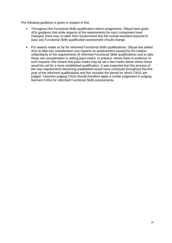The following guidance is given in respect of this:

- Throughout the Functional Skills qualification reform programme, Ofqual have given AOs guidance that while aspects of the requirements for each component have changed, there was no steer from Government that the *overall standard* required to pass any Functional Skills qualification assessment should change.
- For awards made so far for reformed Functional Skills qualifications, Ofqual has asked AOs to take into consideration any impacts on achievement caused by the relative unfamiliarity of the requirements of reformed Functional Skills qualifications and to take these into consideration in setting pass marks. In practice, where there is evidence of such impacts, this means that pass marks may be set a few marks below where these would be set for a more established qualification. It was expected that this process of the new requirements becoming established would have continued throughout the first year of the reformed qualifications and this includes the period for which CAGs are judged. Teachers judging CAGs should therefore apply a similar judgement in judging learners CAGs for reformed Functional Skills assessments.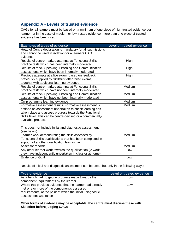# <span id="page-18-0"></span>**Appendix A - Levels of trusted evidence**

CAGs for all learners must be based on a minimum of one piece of high trusted evidence per learner, or in the case of medium or low trusted evidence, more than one piece of trusted evidence has been used.

| Examples of types of evidence                               | Level of trusted evidence |
|-------------------------------------------------------------|---------------------------|
| Head of Centre declaration is mandatory for all submissions |                           |
| and cannot be used in isolation for a learners CAG          |                           |
| evidence                                                    |                           |
| Results of centre-marked attempts at Functional Skills      | High                      |
| practice tests which has been internally moderated          |                           |
| Results of mock Speaking, Listening and Communication       | High                      |
| assessments which have been internally moderated            |                           |
| Previous attempts at a live exam (based on feedback         | High                      |
| previously supplied by Skillsfirst after failed exams),     |                           |
| together with additional learning evidence                  |                           |
| Results of centre-marked attempts at Functional Skills      | Medium                    |
| practice tests which have not been internally moderated     |                           |
| Results of mock Speaking, Listening and Communication       | Medium                    |
| assessments which have not been internally moderated        |                           |
| On-programme learning evidence                              | Medium                    |
| Formative assessment results. Formative assessment is       | Medium                    |
| defined as assessment undertaken to check learning has      |                           |
| taken place and assess progress towards the Functional      |                           |
| Skills level. This can be centre-devised or a commercially- |                           |
| available product.                                          |                           |
|                                                             |                           |
| This does not include initial and diagnostic assessment     |                           |
| (see below)                                                 |                           |
| Learner work demonstrating the skills assessed by           | Medium                    |
| Functional Skills qualifications that has been completed in |                           |
| support of another qualification learning aim               |                           |
| Assessor records                                            | Medium                    |
| Any other learner work towards the qualification (ie work   | Low                       |
| they have independently undertaken in class or at home)     |                           |
| <b>Evidence of GLH</b>                                      | Low                       |

Results of initial and diagnostic assessment can be used, but only in the following ways:

| Type of evidence                                                                                                                                                                                 | Level of trusted evidence |
|--------------------------------------------------------------------------------------------------------------------------------------------------------------------------------------------------|---------------------------|
| As a benchmark to gauge progress made towards the<br>component requirements by the learner                                                                                                       | Low                       |
| Where this provides evidence that the learner had already<br>met one or more of the component's assessed<br>requirements, at the point at which the initial / diagnostic<br>assessment was taken | Low                       |

**Other forms of evidence may be acceptable, the centre must discuss these with Skillsfirst before judging CAGs.**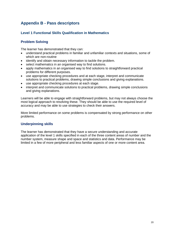# <span id="page-19-0"></span>**Appendix B - Pass descriptors**

#### <span id="page-19-1"></span>**Level 1 Functional Skills Qualification in Mathematics**

#### **Problem Solving**

The learner has demonstrated that they can:

- understand practical problems in familiar and unfamiliar contexts and situations, some of which are non-routine
- identify and obtain necessary information to tackle the problem.
- select mathematics in an organised way to find solutions.
- apply mathematics in an organised way to find solutions to straightforward practical problems for different purposes.
- use appropriate checking procedures and at each stage, interpret and communicate solutions to practical problems, drawing simple conclusions and giving explanations.
- use appropriate checking procedures at each stage.
- interpret and communicate solutions to practical problems, drawing simple conclusions and giving explanations.

Learners will be able to engage with straightforward problems, but may not always choose the most logical approach to resolving these. They should be able to use the required level of accuracy and may be able to use strategies to check their answers.

More limited performance on some problems is compensated by strong performance on other problems.

#### **Underpinning skills**

The learner has demonstrated that they have a secure understanding and accurate application of the level 1 skills specified in each of the three content areas of number and the number system, measure shape and space and statistics and data. Performance may be limited in a few of more peripheral and less familiar aspects of one or more content area.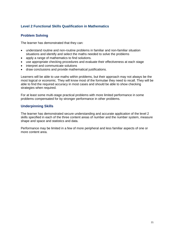#### <span id="page-20-0"></span>**Level 2 Functional Skills Qualification in Mathematics**

#### **Problem Solving**

The learner has demonstrated that they can:

- understand routine and non-routine problems in familiar and non-familiar situation situations and identify and select the maths needed to solve the problems
- apply a range of mathematics to find solutions.
- use appropriate checking procedures and evaluate their effectiveness at each stage
- interpret and communicate solutions
- draw conclusions and provide mathematical justifications.

Learners will be able to use maths within problems, but their approach may not always be the most logical or economic. They will know most of the formulae they need to recall. They will be able to find the required accuracy in most cases and should be able to show checking strategies when required.

For at least some multi-stage practical problems with more limited performance in some problems compensated for by stronger performance in other problems.

#### **Underpinning Skills**

The learner has demonstrated secure understanding and accurate application of the level 2 skills specified in each of the three content areas of number and the number system, measure shape and space and statistics and data.

Performance may be limited in a few of more peripheral and less familiar aspects of one or more content area.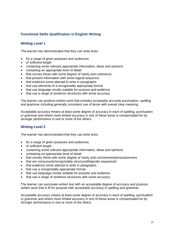#### <span id="page-21-0"></span>**Functional Skills Qualification in English Writing**

#### **Writing Level 1**

The learner has demonstrated that they can write texts:

- for a range of given purposes and audiences
- of sufficient length
- containing some relevant appropriate information, ideas and opinions
- containing an appropriate level of detail
- that convey these with some degree of clarity and coherence
- that present information with some logical sequence
- that evidence some attempt to write in paragraphs
- that use elements of a recognisably appropriate format
- that use language mostly suitable for purpose and audience
- that use a range of sentence structures with some accuracy.

The learner can produce written work that includes acceptably accurate punctuation, spelling and grammar including generally consistent use of tense with overall clear meaning.

Acceptable accuracy means at least some degree of accuracy in each of spelling, punctuation or grammar and where more limited accuracy in one of these areas is compensated for by stronger performance in one or more of the others.

#### **Writing Level 2**

The learner has demonstrated that they can write texts:

- for a range of given purposes and audiences
- of sufficient length
- containing some relevant appropriate information, ideas and opinions
- containing an appropriate level of detail
- that convey these with some degree of clarity and conciseness/persuasiveness
- that are consciously/recognisably structured/logically sequenced
- that evidence some attempt to write in paragraphs
- that use a recognisably appropriate format
- that use language mostly suitable for purpose and audience
- that use a range of sentence structures with some accuracy.

The learner can punctuate written text with an acceptable degree of accuracy and produce written work that is fit for purpose with acceptable accuracy in spelling and grammar.

Acceptable accuracy means at least some degree of accuracy in each of spelling, punctuation or grammar and where more limited accuracy in one of these areas is compensated for by stronger performance in one or more of the others.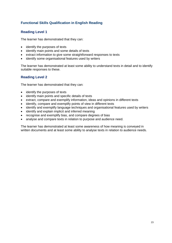#### <span id="page-22-0"></span>**Functional Skills Qualification in English Reading**

#### **Reading Level 1**

The learner has demonstrated that they can:

- identify the purposes of texts
- identify main points and some details of texts
- extract information to give some straightforward responses to texts
- identify some organisational features used by writers

The learner has demonstrated at least some ability to understand texts in detail and to identify suitable responses to these.

#### **Reading Level 2**

The learner has demonstrated that they can:

- identify the purposes of texts
- identify main points and specific details of texts
- extract, compare and exemplify information, ideas and opinions in different texts
- identify, compare and exemplify points of view in different texts
- identify and exemplify language techniques and organisational features used by writers
- identify and explain implicit and inferred meaning
- recognise and exemplify bias, and compare degrees of bias
- analyse and compare texts in relation to purpose and audience need.

The learner has demonstrated at least some awareness of how meaning is conveyed in written documents and at least some ability to analyse texts in relation to audience needs.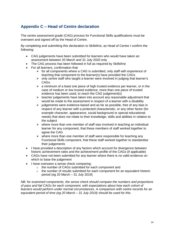# <span id="page-23-0"></span>**Appendix C – Head of Centre declaration**

The centre assessment grade (CAG) process for Functional Skills qualifications must be overseen and signed off by the Head of Centre.

By completing and submitting this declaration to Skillsfirst, as Head of Centre I confirm the following:

- CAG judgements have been submitted for learners who would have taken an assessment between 20 March and 31 July 2020 only
- The CAG process has been followed in full as required by Skillsfirst
- For all learners, confirmation that:
	- $\triangleright$  for all components where a CAG is submitted, only staff with experience of teaching that component to the learner(s) have provided the CAGs
	- $\triangleright$  only centre staff who taught a learner were involved in judging that learner's CAGs
	- $\triangleright$  a minimum of a least one piece of high trusted evidence per learner, or in the case of medium or low trusted evidence, more than one piece of trusted evidence has been used, to reach the CAG judgement(s)
	- $\triangleright$  teacher judgements have taken into account any reasonable adjustment that would be made to the assessment in respect of a learner with a disability
	- $\triangleright$  judgements were evidence-based and as far as possible, free of any bias in respect of any learner with a protected characteristic, or any other factor (for example character, appearance, social background or special educational needs) that does not relate to their knowledge, skills and abilities in relation to the subject
	- $\triangleright$  where more than one member of staff was involved in teaching an individual learner for any component, that these members of staff worked together to agree the CAG
	- $\triangleright$  where more than one member of staff were responsible for teaching any Functional Skills component, that these staff worked together to standardise their judgements
- I have provided a description of any factors which account for divergence between historic achievement rates and the achievement profile of the CAGs (if applicable)
- CAGs have not been submitted for any learner where there is no valid evidence on which to base the judgement
- I have overseen a sense check comparing:
	- o the number of CAGs submitted for each component and
	- $\circ$  the number of results submitted for each component for an equivalent historic period (eg 20 March – 31 July 2019)

*NB: for examined components, the sense check should compare the numbers and proportions of pass and fail CAGs for each component, with expectations about how each cohort of learners would perform under normal circumstances. A comparison with centre records for an equivalent period of time (eg 20 March – 31 July 2019) should be used for this.*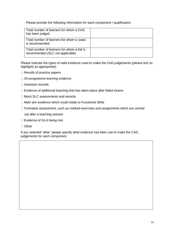Please provide the following information for each component / qualification:

| Total number of learners for whom a CAG<br>has been judged                      |  |
|---------------------------------------------------------------------------------|--|
| Total number of learners for whom a 'pass'<br>is recommended                    |  |
| Total number of learners for whom a fail is<br>recommended (SLC not applicable) |  |

Please indicate the types of valid evidence used to make the CAG judgements (*please tick (or highlight) as appropriate*):

- $\Box$  Results of practice papers
- □ On-programme learning evidence
- □ Assessor records
- $\Box$  Evidence of additional teaching that has taken place after failed exams
- □ Mock SLC assessments and records
- □ Main aim evidence which could relate to Functional Skills
- □ Formative assessment, such as marked exercises and assignments which are carried

out after a teaching session

- □ Evidence of GLH being met
- □ Other

If you selected 'other' please specify what evidence has been use to make the CAG judgements for each component.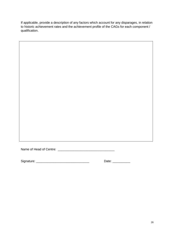If applicable, provide a description of any factors which account for any disparages, in relation to historic achievement rates and the achievement profile of the CAGs for each component / qualification.

Name of Head of Centre: \_\_\_\_\_\_\_\_\_\_\_\_\_\_\_\_\_\_\_\_\_\_\_\_\_\_\_\_\_\_\_\_

Signature: \_\_\_\_\_\_\_\_\_\_\_\_\_\_\_\_\_\_\_\_\_\_\_\_\_\_\_\_\_\_ Date: \_\_\_\_\_\_\_\_\_\_